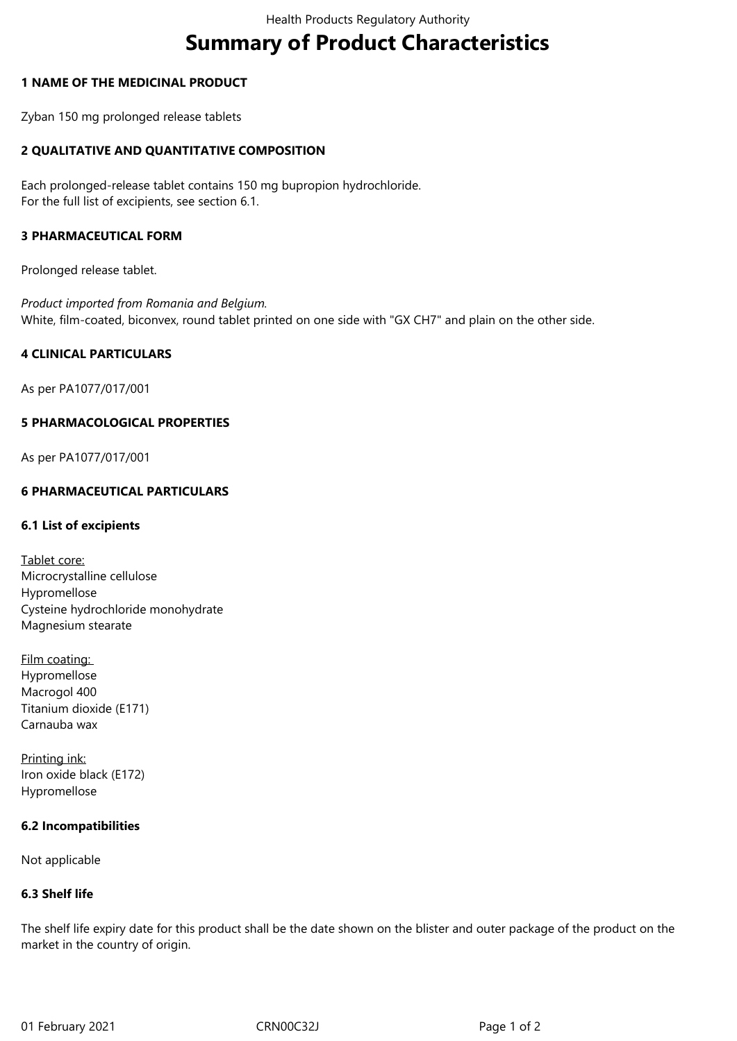# **Summary of Product Characteristics**

### **1 NAME OF THE MEDICINAL PRODUCT**

Zyban 150 mg prolonged release tablets

# **2 QUALITATIVE AND QUANTITATIVE COMPOSITION**

Each prolonged-release tablet contains 150 mg bupropion hydrochloride. For the full list of excipients, see section 6.1.

### **3 PHARMACEUTICAL FORM**

Prolonged release tablet.

*Product imported from Romania and Belgium.* White, film-coated, biconvex, round tablet printed on one side with "GX CH7" and plain on the other side.

#### **4 CLINICAL PARTICULARS**

As per PA1077/017/001

#### **5 PHARMACOLOGICAL PROPERTIES**

As per PA1077/017/001

# **6 PHARMACEUTICAL PARTICULARS**

#### **6.1 List of excipients**

Tablet core: Microcrystalline cellulose Hypromellose Cysteine hydrochloride monohydrate Magnesium stearate

Film coating: Hypromellose Macrogol 400 Titanium dioxide (E171) Carnauba wax

Printing ink: Iron oxide black (E172) Hypromellose

#### **6.2 Incompatibilities**

Not applicable

# **6.3 Shelf life**

The shelf life expiry date for this product shall be the date shown on the blister and outer package of the product on the market in the country of origin.